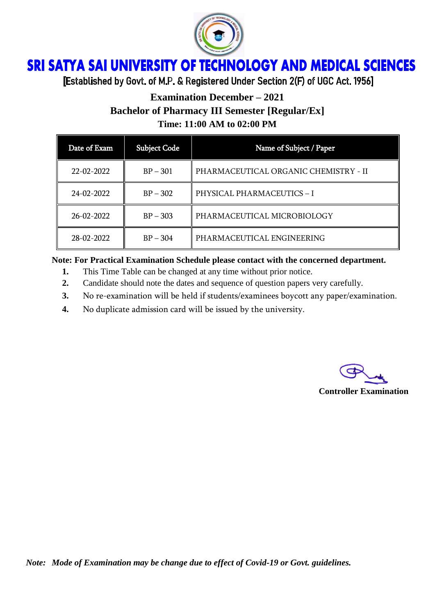

## ì Ï

[Established by Govt. of M.P. & Registered Under Section 2(F) of UGC Act. 1956]

# **Examination December – 2021 Bachelor of Pharmacy III Semester [Regular/Ex] Time: 11:00 AM to 02:00 PM**

| Date of Exam | <b>Subject Code</b> | Name of Subject / Paper               |
|--------------|---------------------|---------------------------------------|
| 22-02-2022   | $BP - 301$          | PHARMACEUTICAL ORGANIC CHEMISTRY - II |
| 24-02-2022   | $BP - 302$          | PHYSICAL PHARMACEUTICS - I            |
| 26-02-2022   | $BP - 303$          | PHARMACEUTICAL MICROBIOLOGY           |
| 28-02-2022   | $BP - 304$          | PHARMACEUTICAL ENGINEERING            |

### **Note: For Practical Examination Schedule please contact with the concerned department.**

- **1.** This Time Table can be changed at any time without prior notice.
- **2.** Candidate should note the dates and sequence of question papers very carefully.
- **3.** No re-examination will be held if students/examinees boycott any paper/examination.
- **4.** No duplicate admission card will be issued by the university.